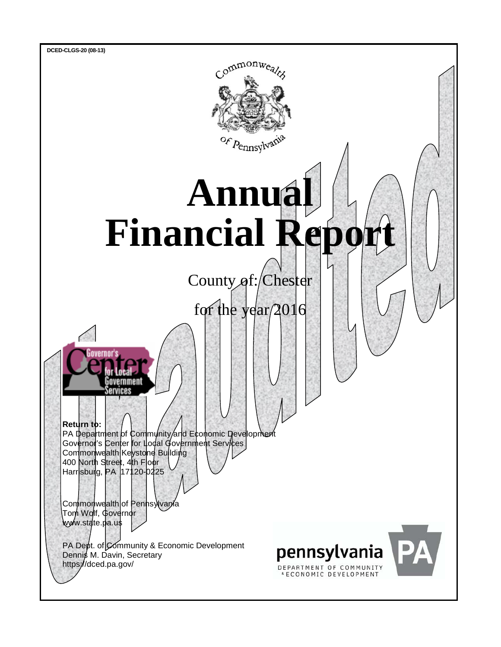

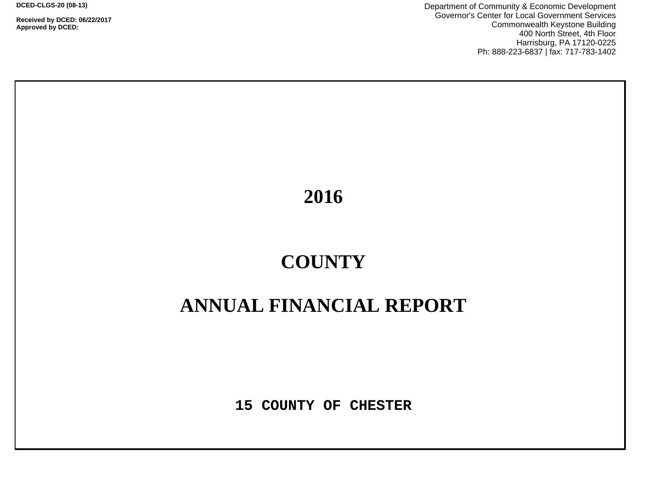**Received by DCED: 06/22/2017 Approved by DCED:** 

Department of Community & Economic Development Governor's Center for Local Government Services Commonwealth Keystone Building 400 North Street, 4th Floor Harrisburg, PA 17120-0225 Ph: 888-223-6837 | fax: 717-783-1402

**2016**

# **COUNTY**

# **ANNUAL FINANCIAL REPORT**

**15 COUNTY OF CHESTER**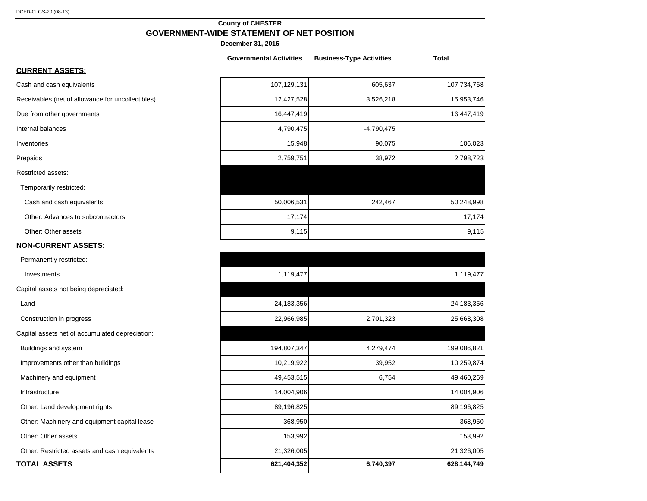#### **County of CHESTER GOVERNMENT-WIDE STATEMENT OF NET POSITION**

**December 31, 2016**

|                                                   | <b>Governmental Activities</b> | <b>Business-Type Activities</b> | <b>Total</b> |
|---------------------------------------------------|--------------------------------|---------------------------------|--------------|
| <b>CURRENT ASSETS:</b>                            |                                |                                 |              |
| Cash and cash equivalents                         | 107,129,131                    | 605,637                         | 107,734,768  |
| Receivables (net of allowance for uncollectibles) | 12,427,528                     | 3,526,218                       | 15,953,746   |
| Due from other governments                        | 16,447,419                     |                                 | 16,447,419   |
| Internal balances                                 | 4,790,475                      | $-4,790,475$                    |              |
| Inventories                                       | 15,948                         | 90,075                          | 106,023      |
| Prepaids                                          | 2,759,751                      | 38,972                          | 2,798,723    |
| Restricted assets:                                |                                |                                 |              |
| Temporarily restricted:                           |                                |                                 |              |
| Cash and cash equivalents                         | 50,006,531                     | 242,467                         | 50,248,998   |
| Other: Advances to subcontractors                 | 17,174                         |                                 | 17,174       |
| Other: Other assets                               | 9,115                          |                                 | 9,115        |
| <b>NON-CURRENT ASSETS:</b>                        |                                |                                 |              |
| Permanently restricted:                           |                                |                                 |              |

| <b>OTAL ASSETS</b>                             | 621,404,352 | 6,740,397 | 628,144,749 |
|------------------------------------------------|-------------|-----------|-------------|
| Other: Restricted assets and cash equivalents  | 21,326,005  |           | 21,326,005  |
| Other: Other assets                            | 153,992     |           | 153,992     |
| Other: Machinery and equipment capital lease   | 368,950     |           | 368,950     |
| Other: Land development rights                 | 89,196,825  |           | 89,196,825  |
| Infrastructure                                 | 14,004,906  |           | 14,004,906  |
| Machinery and equipment                        | 49,453,515  | 6,754     | 49,460,269  |
| Improvements other than buildings              | 10,219,922  | 39,952    | 10,259,874  |
| Buildings and system                           | 194,807,347 | 4,279,474 | 199,086,821 |
| apital assets net of accumulated depreciation: |             |           |             |
| Construction in progress                       | 22,966,985  | 2,701,323 | 25,668,308  |
| Land                                           | 24,183,356  |           | 24,183,356  |
| apital assets not being depreciated:           |             |           |             |
| Investments                                    | 1,119,477   |           | 1,119,477   |
| Permanently restricted:                        |             |           |             |

Capital assets not being deprecia

**TOTAL ASSETS 621,404,352 6,740,397 628,144,749**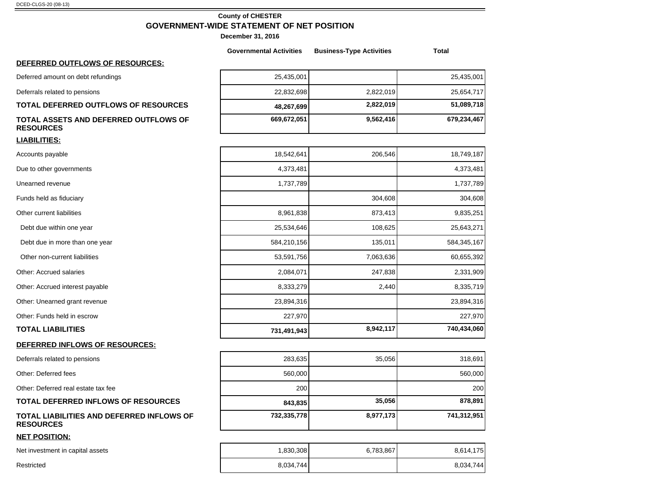## **County of CHESTER GOVERNMENT-WIDE STATEMENT OF NET POSITION**

|                                                                      | <b>Governmental Activities</b> | <b>Business-Type Activities</b> | <b>Total</b> |
|----------------------------------------------------------------------|--------------------------------|---------------------------------|--------------|
| DEFERRED OUTFLOWS OF RESOURCES:                                      |                                |                                 |              |
| Deferred amount on debt refundings                                   | 25,435,001                     |                                 | 25,435,001   |
| Deferrals related to pensions                                        | 22,832,698                     | 2,822,019                       | 25,654,717   |
| <b>TOTAL DEFERRED OUTFLOWS OF RESOURCES</b>                          | 48,267,699                     | 2,822,019                       | 51,089,718   |
| TOTAL ASSETS AND DEFERRED OUTFLOWS OF<br><b>RESOURCES</b>            | 669,672,051                    | 9,562,416                       | 679,234,467  |
| <b>LIABILITIES:</b>                                                  |                                |                                 |              |
| Accounts payable                                                     | 18,542,641                     | 206,546                         | 18,749,187   |
| Due to other governments                                             | 4,373,481                      |                                 | 4,373,481    |
| Unearned revenue                                                     | 1,737,789                      |                                 | 1,737,789    |
| Funds held as fiduciary                                              |                                | 304,608                         | 304,608      |
| Other current liabilities                                            | 8,961,838                      | 873,413                         | 9,835,251    |
| Debt due within one year                                             | 25,534,646                     | 108,625                         | 25,643,271   |
| Debt due in more than one year                                       | 584,210,156                    | 135,011                         | 584,345,167  |
| Other non-current liabilities                                        | 53,591,756                     | 7,063,636                       | 60,655,392   |
| Other: Accrued salaries                                              | 2,084,071                      | 247,838                         | 2,331,909    |
| Other: Accrued interest payable                                      | 8,333,279                      | 2,440                           | 8,335,719    |
| Other: Unearned grant revenue                                        | 23,894,316                     |                                 | 23,894,316   |
| Other: Funds held in escrow                                          | 227,970                        |                                 | 227,970      |
| <b>TOTAL LIABILITIES</b>                                             | 731,491,943                    | 8,942,117                       | 740,434,060  |
| DEFERRED INFLOWS OF RESOURCES:                                       |                                |                                 |              |
| Deferrals related to pensions                                        | 283,635                        | 35,056                          | 318,691      |
| Other: Deferred fees                                                 | 560,000                        |                                 | 560,000      |
| Other: Deferred real estate tax fee                                  | 200                            |                                 | 200          |
| <b>TOTAL DEFERRED INFLOWS OF RESOURCES</b>                           | 843,835                        | 35,056                          | 878,891      |
| <b>TOTAL LIABILITIES AND DEFERRED INFLOWS OF</b><br><b>RESOURCES</b> | 732,335,778                    | 8,977,173                       | 741,312,951  |
| <b>NET POSITION:</b>                                                 |                                |                                 |              |
| Net investment in capital assets                                     | 1,830,308                      | 6,783,867                       | 8,614,175    |

| Restricted | 8.034.744 | 6.034.744 |
|------------|-----------|-----------|
|            |           |           |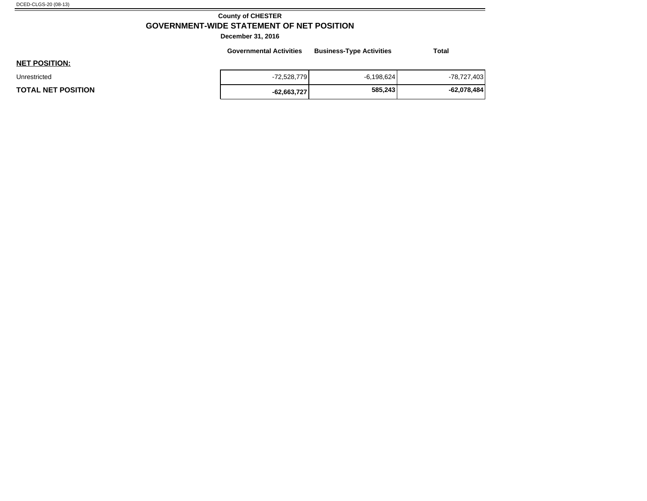## **County of CHESTER GOVERNMENT-WIDE STATEMENT OF NET POSITION**

|                           | <b>Governmental Activities</b> | <b>Business-Type Activities</b> | <b>Total</b>  |
|---------------------------|--------------------------------|---------------------------------|---------------|
| <b>NET POSITION:</b>      |                                |                                 |               |
| Unrestricted              | $-72,528,779$                  | $-6,198,624$                    | -78,727,403   |
| <b>TOTAL NET POSITION</b> | $-62,663,727$                  | 585,243                         | $-62,078,484$ |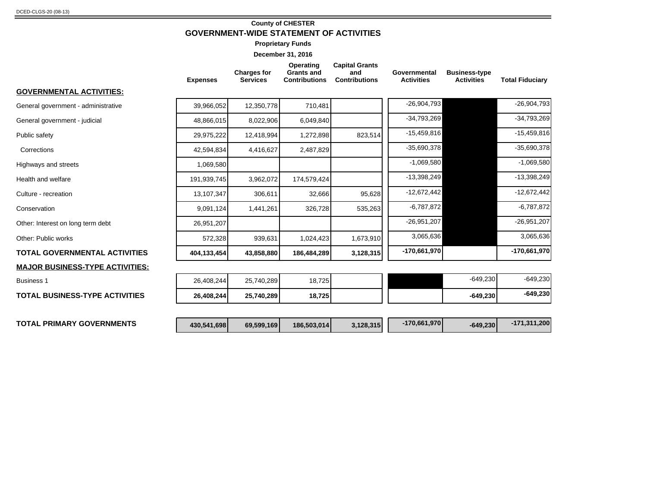#### **County of CHESTER GOVERNMENT-WIDE STATEMENT OF ACTIVITIES**

**Proprietary Funds**

|                                        | <b>Expenses</b> | <b>Charges for</b><br><b>Grants and</b><br>and<br><b>Services</b><br><b>Contributions</b> |             | <b>Capital Grants</b><br>Operating<br><b>Contributions</b> |                | <b>Business-type</b><br><b>Activities</b> | <b>Total Fiduciary</b> |
|----------------------------------------|-----------------|-------------------------------------------------------------------------------------------|-------------|------------------------------------------------------------|----------------|-------------------------------------------|------------------------|
| <b>GOVERNMENTAL ACTIVITIES:</b>        |                 |                                                                                           |             |                                                            |                |                                           |                        |
| General government - administrative    | 39,966,052      | 12,350,778                                                                                | 710,481     |                                                            | $-26,904,793$  |                                           | $-26,904,793$          |
| General government - judicial          | 48,866,015      | 8,022,906                                                                                 | 6,049,840   |                                                            | $-34,793,269$  |                                           | $-34,793,269$          |
| Public safety                          | 29,975,222      | 12,418,994                                                                                | 1,272,898   | 823,514                                                    | $-15,459,816$  |                                           | $-15,459,816$          |
| Corrections                            | 42,594,834      | 4,416,627                                                                                 | 2,487,829   |                                                            | $-35,690,378$  |                                           | $-35,690,378$          |
| Highways and streets                   | 1,069,580       |                                                                                           |             |                                                            | $-1,069,580$   |                                           | $-1,069,580$           |
| Health and welfare                     | 191,939,745     | 3,962,072                                                                                 | 174,579,424 |                                                            | $-13,398,249$  |                                           | -13,398,249            |
| Culture - recreation                   | 13,107,347      | 306,611                                                                                   | 32,666      | 95,628                                                     | $-12,672,442$  |                                           | $-12,672,442$          |
| Conservation                           | 9,091,124       | 1,441,261                                                                                 | 326,728     | 535,263                                                    | $-6,787,872$   |                                           | $-6,787,872$           |
| Other: Interest on long term debt      | 26,951,207      |                                                                                           |             |                                                            | $-26,951,207$  |                                           | $-26,951,207$          |
| Other: Public works                    | 572,328         | 939,631                                                                                   | 1,024,423   | 1,673,910                                                  | 3,065,636      |                                           | 3,065,636              |
| <b>TOTAL GOVERNMENTAL ACTIVITIES</b>   | 404,133,454     | 43,858,880                                                                                | 186,484,289 | 3,128,315                                                  | $-170,661,970$ |                                           | $-170,661,970$         |
| <b>MAJOR BUSINESS-TYPE ACTIVITIES:</b> |                 |                                                                                           |             |                                                            |                |                                           |                        |
| <b>Business 1</b>                      | 26,408,244      | 25,740,289                                                                                | 18,725      |                                                            |                | $-649,230$                                | $-649,230$             |
| <b>TOTAL BUSINESS-TYPE ACTIVITIES</b>  | 26,408,244      | 25,740,289                                                                                | 18,725      |                                                            |                | $-649,230$                                | $-649,230$             |
|                                        |                 |                                                                                           |             |                                                            |                |                                           |                        |
| <b>TOTAL PRIMARY GOVERNMENTS</b>       | 430,541,698     | 69,599,169                                                                                | 186,503,014 | 3,128,315                                                  | $-170,661,970$ | $-649,230$                                | $-171,311,200$         |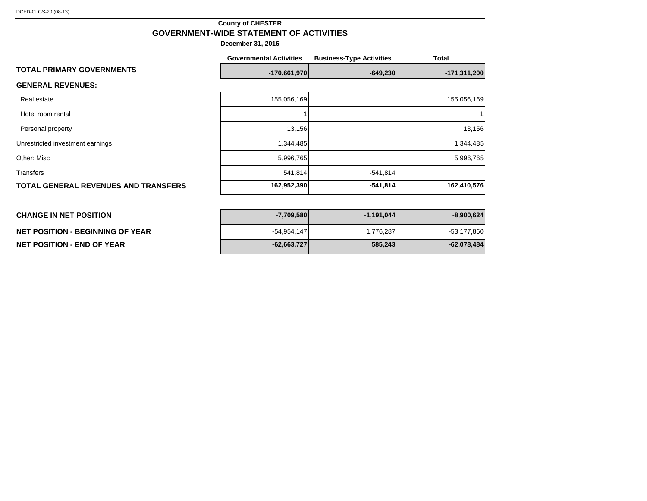#### **County of CHESTER GOVERNMENT-WIDE STATEMENT OF ACTIVITIES**

|                                             | <b>Governmental Activities</b> | <b>Business-Type Activities</b> | <b>Total</b>   |
|---------------------------------------------|--------------------------------|---------------------------------|----------------|
| <b>TOTAL PRIMARY GOVERNMENTS</b>            | $-170,661,970$                 | $-649,230$                      | $-171,311,200$ |
| <b>GENERAL REVENUES:</b>                    |                                |                                 |                |
| Real estate                                 | 155,056,169                    |                                 | 155,056,169    |
| Hotel room rental                           |                                |                                 |                |
| Personal property                           | 13,156                         |                                 | 13,156         |
| Unrestricted investment earnings            | 1,344,485                      |                                 | 1,344,485      |
| Other: Misc                                 | 5,996,765                      |                                 | 5,996,765      |
| Transfers                                   | 541,814                        | $-541,814$                      |                |
| <b>TOTAL GENERAL REVENUES AND TRANSFERS</b> | 162,952,390                    | $-541,814$                      | 162,410,576    |
|                                             |                                |                                 |                |
|                                             |                                |                                 |                |

| <b>CHANGE IN NET POSITION</b>     | $-7,709,580$  | $-1,191,044$ | $-8,900,624$  |
|-----------------------------------|---------------|--------------|---------------|
| NET POSITION - BEGINNING OF YEAR  | $-54.954.147$ | 776,287.ا    | $-53,177,860$ |
| <b>NET POSITION - END OF YEAR</b> | $-62,663,727$ | 585,243      | -62,078,484   |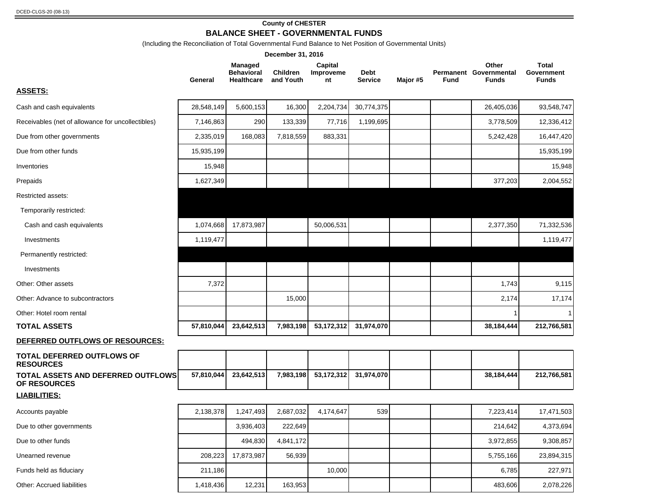## **County of CHESTER**

# **BALANCE SHEET - GOVERNMENTAL FUNDS**

(Including the Reconciliation of Total Governmental Fund Balance to Net Position of Governmental Units)

|                                                           |            |                                                   | December 31, 2016            |                            |                        |          |      |                                                 |                                     |
|-----------------------------------------------------------|------------|---------------------------------------------------|------------------------------|----------------------------|------------------------|----------|------|-------------------------------------------------|-------------------------------------|
|                                                           | General    | Managed<br><b>Behavioral</b><br><b>Healthcare</b> | <b>Children</b><br>and Youth | Capital<br>Improveme<br>nt | Debt<br><b>Service</b> | Major #5 | Fund | Other<br>Permanent Governmental<br><b>Funds</b> | Total<br>Government<br><b>Funds</b> |
| <b>ASSETS:</b>                                            |            |                                                   |                              |                            |                        |          |      |                                                 |                                     |
| Cash and cash equivalents                                 | 28,548,149 | 5,600,153                                         | 16,300                       | 2,204,734                  | 30,774,375             |          |      | 26,405,036                                      | 93,548,747                          |
| Receivables (net of allowance for uncollectibles)         | 7,146,863  | 290                                               | 133,339                      | 77,716                     | 1,199,695              |          |      | 3,778,509                                       | 12,336,412                          |
| Due from other governments                                | 2,335,019  | 168,083                                           | 7,818,559                    | 883,331                    |                        |          |      | 5,242,428                                       | 16,447,420                          |
| Due from other funds                                      | 15,935,199 |                                                   |                              |                            |                        |          |      |                                                 | 15,935,199                          |
| Inventories                                               | 15,948     |                                                   |                              |                            |                        |          |      |                                                 | 15,948                              |
| Prepaids                                                  | 1,627,349  |                                                   |                              |                            |                        |          |      | 377,203                                         | 2,004,552                           |
| Restricted assets:                                        |            |                                                   |                              |                            |                        |          |      |                                                 |                                     |
| Temporarily restricted:                                   |            |                                                   |                              |                            |                        |          |      |                                                 |                                     |
| Cash and cash equivalents                                 | 1,074,668  | 17,873,987                                        |                              | 50,006,531                 |                        |          |      | 2,377,350                                       | 71,332,536                          |
| Investments                                               | 1,119,477  |                                                   |                              |                            |                        |          |      |                                                 | 1,119,477                           |
| Permanently restricted:                                   |            |                                                   |                              |                            |                        |          |      |                                                 |                                     |
| Investments                                               |            |                                                   |                              |                            |                        |          |      |                                                 |                                     |
| Other: Other assets                                       | 7,372      |                                                   |                              |                            |                        |          |      | 1,743                                           | 9,115                               |
| Other: Advance to subcontractors                          |            |                                                   | 15,000                       |                            |                        |          |      | 2,174                                           | 17,174                              |
| Other: Hotel room rental                                  |            |                                                   |                              |                            |                        |          |      |                                                 |                                     |
| <b>TOTAL ASSETS</b>                                       | 57,810,044 | 23,642,513                                        | 7,983,198                    | 53, 172, 312               | 31,974,070             |          |      | 38,184,444                                      | 212,766,581                         |
| DEFERRED OUTFLOWS OF RESOURCES:                           |            |                                                   |                              |                            |                        |          |      |                                                 |                                     |
| TOTAL DEFERRED OUTFLOWS OF<br><b>RESOURCES</b>            |            |                                                   |                              |                            |                        |          |      |                                                 |                                     |
| <b>TOTAL ASSETS AND DEFERRED OUTFLOWS</b><br>OF RESOURCES | 57,810,044 | 23,642,513                                        | 7,983,198                    | 53,172,312                 | 31,974,070             |          |      | 38,184,444                                      | 212,766,581                         |
| <b>LIABILITIES:</b>                                       |            |                                                   |                              |                            |                        |          |      |                                                 |                                     |
| Accounts payable                                          | 2,138,378  | 1,247,493                                         | 2,687,032                    | 4,174,647                  | 539                    |          |      | 7,223,414                                       | 17,471,503                          |
| Due to other governments                                  |            | 3,936,403                                         | 222,649                      |                            |                        |          |      | 214,642                                         | 4,373,694                           |
| Due to other funds                                        |            | 494,830                                           | 4,841,172                    |                            |                        |          |      | 3,972,855                                       | 9,308,857                           |
| Unearned revenue                                          | 208,223    | 17,873,987                                        | 56,939                       |                            |                        |          |      | 5,755,166                                       | 23,894,315                          |
| Funds held as fiduciary                                   | 211,186    |                                                   |                              | 10,000                     |                        |          |      | 6,785                                           | 227,971                             |
| Other: Accrued liabilities                                | 1,418,436  | 12,231                                            | 163,953                      |                            |                        |          |      | 483,606                                         | 2,078,226                           |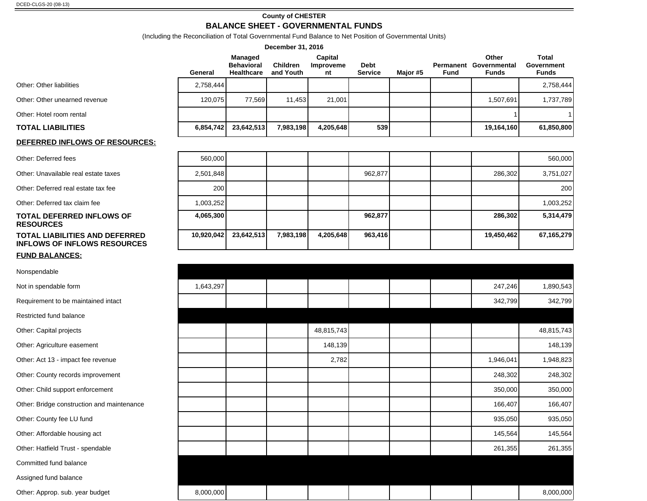#### **County of CHESTER**

## **BALANCE SHEET - GOVERNMENTAL FUNDS**

|                                                                       |            |                                                          | December 31, 2016     |                            |                        |          |             |                                                 |                                            |
|-----------------------------------------------------------------------|------------|----------------------------------------------------------|-----------------------|----------------------------|------------------------|----------|-------------|-------------------------------------------------|--------------------------------------------|
|                                                                       | General    | <b>Managed</b><br><b>Behavioral</b><br><b>Healthcare</b> | Children<br>and Youth | Capital<br>Improveme<br>nt | Debt<br><b>Service</b> | Major #5 | <b>Fund</b> | Other<br>Permanent Governmental<br><b>Funds</b> | <b>Total</b><br>Government<br><b>Funds</b> |
| Other: Other liabilities                                              | 2,758,444  |                                                          |                       |                            |                        |          |             |                                                 | 2,758,444                                  |
| Other: Other unearned revenue                                         | 120,075    | 77,569                                                   | 11,453                | 21,001                     |                        |          |             | 1,507,691                                       | 1,737,789                                  |
| Other: Hotel room rental                                              |            |                                                          |                       |                            |                        |          |             |                                                 |                                            |
| <b>TOTAL LIABILITIES</b>                                              | 6,854,742  | 23,642,513                                               | 7,983,198             | 4,205,648                  | 539                    |          |             | 19,164,160                                      | 61,850,800                                 |
| <b>DEFERRED INFLOWS OF RESOURCES:</b>                                 |            |                                                          |                       |                            |                        |          |             |                                                 |                                            |
| Other: Deferred fees                                                  | 560,000    |                                                          |                       |                            |                        |          |             |                                                 | 560,000                                    |
| Other: Unavailable real estate taxes                                  | 2,501,848  |                                                          |                       |                            | 962,877                |          |             | 286,302                                         | 3,751,027                                  |
| Other: Deferred real estate tax fee                                   | 200        |                                                          |                       |                            |                        |          |             |                                                 | 200                                        |
| Other: Deferred tax claim fee                                         | 1,003,252  |                                                          |                       |                            |                        |          |             |                                                 | 1,003,252                                  |
| <b>TOTAL DEFERRED INFLOWS OF</b><br><b>RESOURCES</b>                  | 4,065,300  |                                                          |                       |                            | 962,877                |          |             | 286,302                                         | 5,314,479                                  |
| TOTAL LIABILITIES AND DEFERRED<br><b>INFLOWS OF INFLOWS RESOURCES</b> | 10,920,042 | 23,642,513                                               | 7,983,198             | 4,205,648                  | 963,416                |          |             | 19,450,462                                      | 67,165,279                                 |
| <b>FUND BALANCES:</b>                                                 |            |                                                          |                       |                            |                        |          |             |                                                 |                                            |
| Nonspendable                                                          |            |                                                          |                       |                            |                        |          |             |                                                 |                                            |
| Not in spendable form                                                 | 1,643,297  |                                                          |                       |                            |                        |          |             | 247,246                                         | 1,890,543                                  |
| Requirement to be maintained intact                                   |            |                                                          |                       |                            |                        |          |             | 342,799                                         | 342,799                                    |
| Restricted fund balance                                               |            |                                                          |                       |                            |                        |          |             |                                                 |                                            |
| Other: Capital projects                                               |            |                                                          |                       | 48,815,743                 |                        |          |             |                                                 | 48,815,743                                 |
| Other: Agriculture easement                                           |            |                                                          |                       | 148,139                    |                        |          |             |                                                 | 148,139                                    |
| Other: Act 13 - impact fee revenue                                    |            |                                                          |                       | 2,782                      |                        |          |             | 1,946,041                                       | 1,948,823                                  |
| Other: County records improvement                                     |            |                                                          |                       |                            |                        |          |             | 248,302                                         | 248,302                                    |
| Other: Child support enforcement                                      |            |                                                          |                       |                            |                        |          |             | 350,000                                         | 350,000                                    |
| Other: Bridge construction and maintenance                            |            |                                                          |                       |                            |                        |          |             | 166,407                                         | 166,407                                    |
| Other: County fee LU fund                                             |            |                                                          |                       |                            |                        |          |             | 935,050                                         | 935,050                                    |
| Other: Affordable housing act                                         |            |                                                          |                       |                            |                        |          |             | 145,564                                         | 145,564                                    |

Other: Hatfield Trust - spendable **261,355** 261,355 261,355 261,355 261,355 261,355

Committed fund balance

Assigned fund balance

Other: Approp. sub. year budget 8,000,000 8,000,000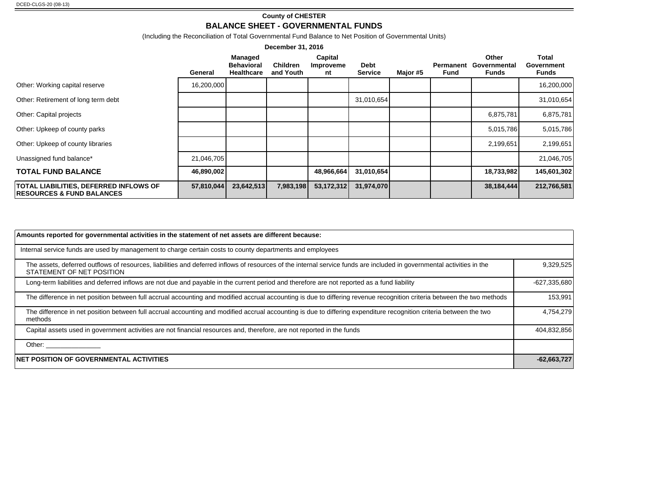#### **County of CHESTER BALANCE SHEET - GOVERNMENTAL FUNDS**

(Including the Reconciliation of Total Governmental Fund Balance to Net Position of Governmental Units)

| December 31, 2016                                                                     |            |                                                   |                              |                                   |                               |          |                   |                                |                                            |
|---------------------------------------------------------------------------------------|------------|---------------------------------------------------|------------------------------|-----------------------------------|-------------------------------|----------|-------------------|--------------------------------|--------------------------------------------|
|                                                                                       | General    | Managed<br><b>Behavioral</b><br><b>Healthcare</b> | <b>Children</b><br>and Youth | Capital<br><b>Improveme</b><br>nt | <b>Debt</b><br><b>Service</b> | Major #5 | Permanent<br>Fund | Other<br>Governmental<br>Funds | <b>Total</b><br>Government<br><b>Funds</b> |
| Other: Working capital reserve                                                        | 16,200,000 |                                                   |                              |                                   |                               |          |                   |                                | 16,200,000                                 |
| Other: Retirement of long term debt                                                   |            |                                                   |                              |                                   | 31,010,654                    |          |                   |                                | 31,010,654                                 |
| Other: Capital projects                                                               |            |                                                   |                              |                                   |                               |          |                   | 6,875,781                      | 6,875,781                                  |
| Other: Upkeep of county parks                                                         |            |                                                   |                              |                                   |                               |          |                   | 5,015,786                      | 5,015,786                                  |
| Other: Upkeep of county libraries                                                     |            |                                                   |                              |                                   |                               |          |                   | 2,199,651                      | 2,199,651                                  |
| Unassigned fund balance*                                                              | 21,046,705 |                                                   |                              |                                   |                               |          |                   |                                | 21,046,705                                 |
| <b>TOTAL FUND BALANCE</b>                                                             | 46,890,002 |                                                   |                              | 48,966,664                        | 31,010,654                    |          |                   | 18,733,982                     | 145,601,302                                |
| <b>TOTAL LIABILITIES, DEFERRED INFLOWS OF</b><br><b>RESOURCES &amp; FUND BALANCES</b> | 57,810,044 | 23,642,513                                        | 7,983,198                    | 53,172,312                        | 31,974,070                    |          |                   | 38,184,444                     | 212,766,581                                |

| Amounts reported for governmental activities in the statement of net assets are different because:                                                                                                                             |                |
|--------------------------------------------------------------------------------------------------------------------------------------------------------------------------------------------------------------------------------|----------------|
| Internal service funds are used by management to charge certain costs to county departments and employees                                                                                                                      |                |
| The assets, deferred outflows of resources, liabilities and deferred inflows of resources of the internal service funds are included in governmental activities in the<br>STATEMENT OF NET POSITION                            | 9,329,525      |
| Long-term liabilities and deferred inflows are not due and payable in the current period and therefore are not reported as a fund liability                                                                                    | $-627,335,680$ |
| The difference in net position between full accrual accounting and modified accrual accounting is due to differing revenue recognition criteria between the two methods                                                        | 153,991        |
| The difference in net position between full accrual accounting and modified accrual accounting is due to differing expenditure recognition criteria between the two<br>methods                                                 | 4,754,279      |
| Capital assets used in government activities are not financial resources and, therefore, are not reported in the funds                                                                                                         | 404,832,856    |
| Other: the contract of the contract of the contract of the contract of the contract of the contract of the contract of the contract of the contract of the contract of the contract of the contract of the contract of the con |                |
| <b>NET POSITION OF GOVERNMENTAL ACTIVITIES</b>                                                                                                                                                                                 | $-62,663,727$  |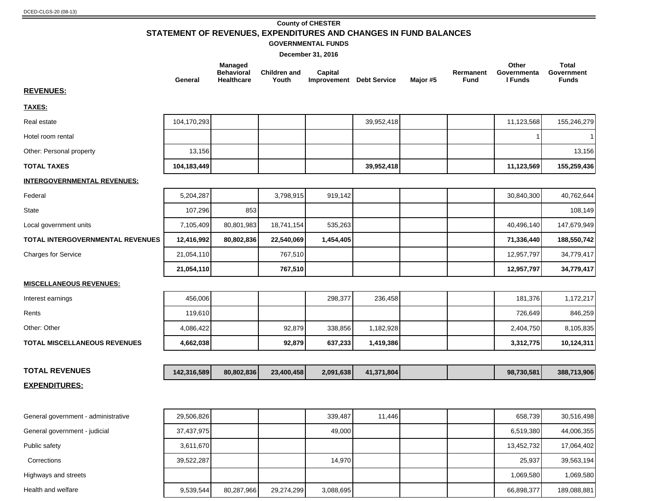#### **County of CHESTER STATEMENT OF REVENUES, EXPENDITURES AND CHANGES IN FUND BALANCES GOVERNMENTAL FUNDS**

|                                         | General     | <b>Managed</b><br><b>Behavioral</b><br><b>Healthcare</b> | <b>Children and</b><br>Youth | Capital<br>Improvement Debt Service |            | Major #5 | Rermanent<br><b>Fund</b> | Other<br>Governmenta<br>I Funds | <b>Total</b><br>Government<br><b>Funds</b> |
|-----------------------------------------|-------------|----------------------------------------------------------|------------------------------|-------------------------------------|------------|----------|--------------------------|---------------------------------|--------------------------------------------|
| <b>REVENUES:</b>                        |             |                                                          |                              |                                     |            |          |                          |                                 |                                            |
| TAXES:                                  |             |                                                          |                              |                                     |            |          |                          |                                 |                                            |
| Real estate                             | 104,170,293 |                                                          |                              |                                     | 39,952,418 |          |                          | 11,123,568                      | 155,246,279                                |
| Hotel room rental                       |             |                                                          |                              |                                     |            |          |                          |                                 | $\mathbf{1}$                               |
| Other: Personal property                | 13,156      |                                                          |                              |                                     |            |          |                          |                                 | 13,156                                     |
| <b>TOTAL TAXES</b>                      | 104,183,449 |                                                          |                              |                                     | 39,952,418 |          |                          | 11,123,569                      | 155,259,436                                |
| <b>INTERGOVERNMENTAL REVENUES:</b>      |             |                                                          |                              |                                     |            |          |                          |                                 |                                            |
| Federal                                 | 5,204,287   |                                                          | 3,798,915                    | 919,142                             |            |          |                          | 30,840,300                      | 40,762,644                                 |
| <b>State</b>                            | 107,296     | 853                                                      |                              |                                     |            |          |                          |                                 | 108,149                                    |
| Local government units                  | 7,105,409   | 80,801,983                                               | 18,741,154                   | 535,263                             |            |          |                          | 40,496,140                      | 147,679,949                                |
| <b>TOTAL INTERGOVERNMENTAL REVENUES</b> | 12,416,992  | 80,802,836                                               | 22,540,069                   | 1,454,405                           |            |          |                          | 71,336,440                      | 188,550,742                                |
| <b>Charges for Service</b>              | 21,054,110  |                                                          | 767,510                      |                                     |            |          |                          | 12,957,797                      | 34,779,417                                 |
|                                         | 21,054,110  |                                                          | 767,510                      |                                     |            |          |                          | 12,957,797                      | 34,779,417                                 |
| <b>MISCELLANEOUS REVENUES:</b>          |             |                                                          |                              |                                     |            |          |                          |                                 |                                            |
| Interest earnings                       | 456,006     |                                                          |                              | 298,377                             | 236,458    |          |                          | 181,376                         | 1,172,217                                  |
| Rents                                   | 119,610     |                                                          |                              |                                     |            |          |                          | 726,649                         | 846,259                                    |
| Other: Other                            | 4,086,422   |                                                          | 92,879                       | 338,856                             | 1,182,928  |          |                          | 2,404,750                       | 8,105,835                                  |
| <b>TOTAL MISCELLANEOUS REVENUES</b>     | 4,662,038   |                                                          | 92,879                       | 637,233                             | 1,419,386  |          |                          | 3,312,775                       | 10,124,311                                 |
|                                         |             |                                                          |                              |                                     |            |          |                          |                                 |                                            |
| <b>TOTAL REVENUES</b>                   | 142,316,589 | 80,802,836                                               | 23,400,458                   | 2,091,638                           | 41,371,804 |          |                          | 98,730,581                      | 388,713,906                                |
| <b>EXPENDITURES:</b>                    |             |                                                          |                              |                                     |            |          |                          |                                 |                                            |

| General government - administrative | 29,506,826 |            |            | 339.487   | 11.446 |  | 658.739    | 30,516,498  |
|-------------------------------------|------------|------------|------------|-----------|--------|--|------------|-------------|
| General government - judicial       | 37,437,975 |            |            | 49.000    |        |  | 6,519,380  | 44,006,355  |
| Public safety                       | 3,611,670  |            |            |           |        |  | 13.452.732 | 17,064,402  |
| Corrections                         | 39,522,287 |            |            | 14.970    |        |  | 25,937     | 39,563,194  |
| Highways and streets                |            |            |            |           |        |  | 1.069.580  | 1,069,580   |
| Health and welfare                  | 9,539,544  | 80,287,966 | 29,274,299 | 3,088,695 |        |  | 66,898,377 | 189,088,881 |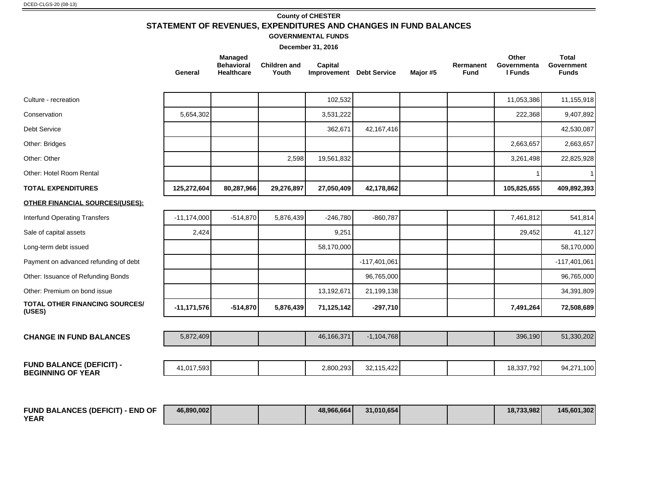# **County of CHESTER STATEMENT OF REVENUES, EXPENDITURES AND CHANGES IN FUND BALANCES**

#### **GOVERNMENTAL FUNDS**

|                                                             | General       | <b>Managed</b><br><b>Behavioral</b><br><b>Healthcare</b> | <b>Children and</b><br>Youth | Capital<br><b>Improvement</b> Debt Service |                | Major #5 | Rermanent<br><b>Fund</b> | Other<br>Governmenta<br>I Funds | <b>Total</b><br>Government<br><b>Funds</b> |
|-------------------------------------------------------------|---------------|----------------------------------------------------------|------------------------------|--------------------------------------------|----------------|----------|--------------------------|---------------------------------|--------------------------------------------|
| Culture - recreation                                        |               |                                                          |                              | 102,532                                    |                |          |                          | 11,053,386                      | 11,155,918                                 |
| Conservation                                                | 5,654,302     |                                                          |                              | 3,531,222                                  |                |          |                          | 222,368                         | 9,407,892                                  |
| <b>Debt Service</b>                                         |               |                                                          |                              | 362,671                                    | 42, 167, 416   |          |                          |                                 | 42,530,087                                 |
| Other: Bridges                                              |               |                                                          |                              |                                            |                |          |                          | 2,663,657                       | 2,663,657                                  |
| Other: Other                                                |               |                                                          | 2,598                        | 19,561,832                                 |                |          |                          | 3,261,498                       | 22,825,928                                 |
| Other: Hotel Room Rental                                    |               |                                                          |                              |                                            |                |          |                          |                                 | 1                                          |
| <b>TOTAL EXPENDITURES</b>                                   | 125,272,604   | 80,287,966                                               | 29,276,897                   | 27,050,409                                 | 42,178,862     |          |                          | 105,825,655                     | 409,892,393                                |
| <b>OTHER FINANCIAL SOURCES/(USES):</b>                      |               |                                                          |                              |                                            |                |          |                          |                                 |                                            |
| <b>Interfund Operating Transfers</b>                        | $-11,174,000$ | $-514,870$                                               | 5,876,439                    | $-246,780$                                 | $-860,787$     |          |                          | 7,461,812                       | 541,814                                    |
| Sale of capital assets                                      | 2,424         |                                                          |                              | 9,251                                      |                |          |                          | 29,452                          | 41,127                                     |
| Long-term debt issued                                       |               |                                                          |                              | 58,170,000                                 |                |          |                          |                                 | 58,170,000                                 |
| Payment on advanced refunding of debt                       |               |                                                          |                              |                                            | $-117,401,061$ |          |                          |                                 | $-117,401,061$                             |
| Other: Issuance of Refunding Bonds                          |               |                                                          |                              |                                            | 96,765,000     |          |                          |                                 | 96,765,000                                 |
| Other: Premium on bond issue                                |               |                                                          |                              | 13,192,671                                 | 21,199,138     |          |                          |                                 | 34,391,809                                 |
| <b>TOTAL OTHER FINANCING SOURCES/</b><br>(USES)             | $-11,171,576$ | $-514,870$                                               | 5,876,439                    | 71,125,142                                 | $-297,710$     |          |                          | 7,491,264                       | 72,508,689                                 |
| <b>CHANGE IN FUND BALANCES</b>                              | 5,872,409     |                                                          |                              | 46,166,371                                 | $-1,104,768$   |          |                          | 396,190                         | 51,330,202                                 |
| <b>FUND BALANCE (DEFICIT) -</b><br><b>BEGINNING OF YEAR</b> | 41,017,593    |                                                          |                              | 2,800,293                                  | 32,115,422     |          |                          | 18,337,792                      | 94,271,100                                 |
|                                                             |               |                                                          |                              |                                            |                |          |                          |                                 |                                            |

| <b>FUND BALANCES (DEFICIT) - END OF</b> | 46.890.002 |  | 48.966.664 | 31.010.654 |  | 18.733.982 | 145,601,302 |
|-----------------------------------------|------------|--|------------|------------|--|------------|-------------|
| <b>YEAR</b>                             |            |  |            |            |  |            |             |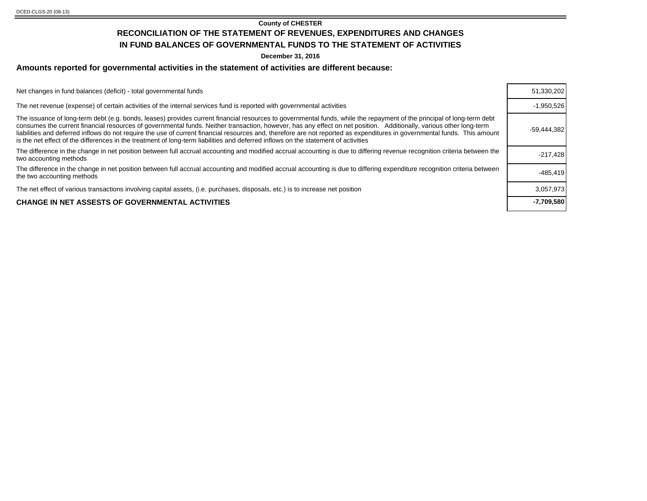#### **County of CHESTER RECONCILIATION OF THE STATEMENT OF REVENUES, EXPENDITURES AND CHANGES IN FUND BALANCES OF GOVERNMENTAL FUNDS TO THE STATEMENT OF ACTIVITIES**

**December 31, 2016**

#### **Amounts reported for governmental activities in the statement of activities are different because:**

Net changes in fund balances (deficit) - total governmental funds

The net revenue (expense) of certain activities of the internal services fund is reported with governmental activities

The issuance of long-term debt (e.g. bonds, leases) provides current financial resources to governmental funds, while the repayment of the principal of long-term debt consumes the current financial resources of governmental funds. Neither transaction, however, has any effect on net position. Additionally, various other long-term liabilities and deferred inflows do not require the use of current financial resources and, therefore are not reported as expenditures in governmental funds. This amount is the net effect of the differences in the treatment of long-term liabilities and deferred inflows on the statement of activities The difference in the change in net position between full accrual accounting and modified accrual accounting is due to differing revenue recognition criteria between the example 17,428<br>two accounting methods The difference in the change in net position between full accrual accounting and modified accrual accounting is due to differing expenditure recognition criteria between the two accounting methods -485,419

The net effect of various transactions involving capital assets, (i.e. purchases, disposals, etc.) is to increase net position

#### **CHANGE IN NET ASSESTS OF GOVERNMENTAL ACTIVITIES -7,709,580**

| 51,330,202    |
|---------------|
| $-1.950.526$  |
| $-59,444,382$ |
| $-217,428$    |
| $-485.419$    |
| 3,057,973     |
| -7,709,580    |
|               |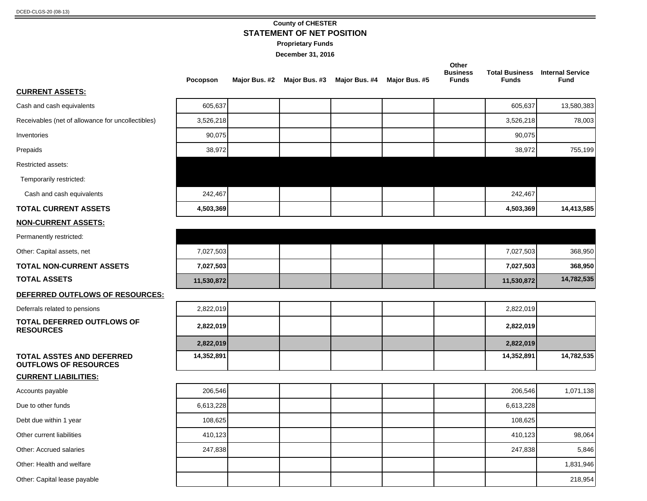#### **County of CHESTER STATEMENT OF NET POSITION**

**Proprietary Funds**

|                                                           | Pocopson   | Major Bus. #2 Major Bus. #3 | Major Bus. #4 | Major Bus. #5 | Other<br><b>Business</b><br><b>Funds</b> | <b>Total Business</b><br><b>Funds</b> | <b>Internal Service</b><br><b>Fund</b> |
|-----------------------------------------------------------|------------|-----------------------------|---------------|---------------|------------------------------------------|---------------------------------------|----------------------------------------|
| <b>CURRENT ASSETS:</b>                                    |            |                             |               |               |                                          |                                       |                                        |
| Cash and cash equivalents                                 | 605,637    |                             |               |               |                                          | 605,637                               | 13,580,383                             |
| Receivables (net of allowance for uncollectibles)         | 3,526,218  |                             |               |               |                                          | 3,526,218                             | 78,003                                 |
| Inventories                                               | 90,075     |                             |               |               |                                          | 90,075                                |                                        |
| Prepaids                                                  | 38,972     |                             |               |               |                                          | 38,972                                | 755,199                                |
| Restricted assets:                                        |            |                             |               |               |                                          |                                       |                                        |
| Temporarily restricted:                                   |            |                             |               |               |                                          |                                       |                                        |
| Cash and cash equivalents                                 | 242,467    |                             |               |               |                                          | 242,467                               |                                        |
| <b>TOTAL CURRENT ASSETS</b>                               | 4,503,369  |                             |               |               |                                          | 4,503,369                             | 14,413,585                             |
| <b>NON-CURRENT ASSETS:</b>                                |            |                             |               |               |                                          |                                       |                                        |
| Permanently restricted:                                   |            |                             |               |               |                                          |                                       |                                        |
| Other: Capital assets, net                                | 7,027,503  |                             |               |               |                                          | 7,027,503                             | 368,950                                |
| <b>TOTAL NON-CURRENT ASSETS</b>                           | 7,027,503  |                             |               |               |                                          | 7,027,503                             | 368,950                                |
| <b>TOTAL ASSETS</b>                                       | 11,530,872 |                             |               |               |                                          | 11,530,872                            | 14,782,535                             |
| DEFERRED OUTFLOWS OF RESOURCES:                           |            |                             |               |               |                                          |                                       |                                        |
| Deferrals related to pensions                             | 2,822,019  |                             |               |               |                                          | 2,822,019                             |                                        |
| <b>TOTAL DEFERRED OUTFLOWS OF</b><br><b>RESOURCES</b>     | 2,822,019  |                             |               |               |                                          | 2,822,019                             |                                        |
|                                                           | 2,822,019  |                             |               |               |                                          | 2,822,019                             |                                        |
| TOTAL ASSTES AND DEFERRED<br><b>OUTFLOWS OF RESOURCES</b> | 14,352,891 |                             |               |               |                                          | 14,352,891                            | 14,782,535                             |
| <b>CURRENT LIABILITIES:</b>                               |            |                             |               |               |                                          |                                       |                                        |
| Accounts payable                                          | 206,546    |                             |               |               |                                          | 206,546                               | 1,071,138                              |
| Due to other funds                                        | 6,613,228  |                             |               |               |                                          | 6,613,228                             |                                        |
| Debt due within 1 year                                    | 108,625    |                             |               |               |                                          | 108,625                               |                                        |
| Other current liabilities                                 | 410,123    |                             |               |               |                                          | 410,123                               | 98,064                                 |
| Other: Accrued salaries                                   | 247,838    |                             |               |               |                                          | 247,838                               | 5,846                                  |
| Other: Health and welfare                                 |            |                             |               |               |                                          |                                       | 1,831,946                              |
| Other: Capital lease payable                              |            |                             |               |               |                                          |                                       | 218,954                                |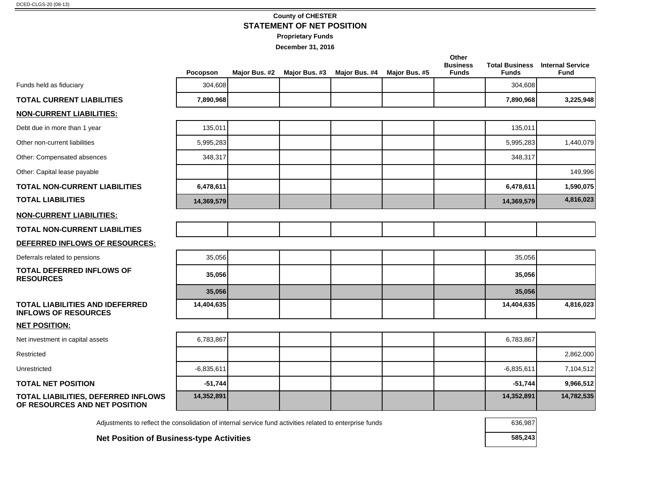#### **County of CHESTER STATEMENT OF NET POSITION**

÷

**Proprietary Funds**

|                                                                                                          | Pocopson     | Major Bus. #2 | Major Bus. #3 | Major Bus. #4 | Major Bus. #5 | Other<br><b>Business</b><br><b>Funds</b> | <b>Funds</b> | <b>Total Business</b> Internal Service<br><b>Fund</b> |
|----------------------------------------------------------------------------------------------------------|--------------|---------------|---------------|---------------|---------------|------------------------------------------|--------------|-------------------------------------------------------|
| Funds held as fiduciary                                                                                  | 304,608      |               |               |               |               |                                          | 304,608      |                                                       |
| <b>TOTAL CURRENT LIABILITIES</b>                                                                         | 7,890,968    |               |               |               |               |                                          | 7,890,968    | 3,225,948                                             |
| <b>NON-CURRENT LIABILITIES:</b>                                                                          |              |               |               |               |               |                                          |              |                                                       |
| Debt due in more than 1 year                                                                             | 135,011      |               |               |               |               |                                          | 135,011      |                                                       |
| Other non-current liabilities                                                                            | 5,995,283    |               |               |               |               |                                          | 5,995,283    | 1,440,079                                             |
| Other: Compensated absences                                                                              | 348,317      |               |               |               |               |                                          | 348,317      |                                                       |
| Other: Capital lease payable                                                                             |              |               |               |               |               |                                          |              | 149,996                                               |
| <b>TOTAL NON-CURRENT LIABILITIES</b>                                                                     | 6,478,611    |               |               |               |               |                                          | 6,478,611    | 1,590,075                                             |
| <b>TOTAL LIABILITIES</b>                                                                                 | 14,369,579   |               |               |               |               |                                          | 14,369,579   | 4,816,023                                             |
| <b>NON-CURRENT LIABILITIES:</b>                                                                          |              |               |               |               |               |                                          |              |                                                       |
| <b>TOTAL NON-CURRENT LIABILITIES</b>                                                                     |              |               |               |               |               |                                          |              |                                                       |
| DEFERRED INFLOWS OF RESOURCES:                                                                           |              |               |               |               |               |                                          |              |                                                       |
| Deferrals related to pensions                                                                            | 35,056       |               |               |               |               |                                          | 35,056       |                                                       |
| <b>TOTAL DEFERRED INFLOWS OF</b><br><b>RESOURCES</b>                                                     | 35,056       |               |               |               |               |                                          | 35,056       |                                                       |
|                                                                                                          | 35,056       |               |               |               |               |                                          | 35,056       |                                                       |
| <b>TOTAL LIABILITIES AND IDEFERRED</b><br><b>INFLOWS OF RESOURCES</b>                                    | 14,404,635   |               |               |               |               |                                          | 14,404,635   | 4,816,023                                             |
| <b>NET POSITION:</b>                                                                                     |              |               |               |               |               |                                          |              |                                                       |
| Net investment in capital assets                                                                         | 6,783,867    |               |               |               |               |                                          | 6,783,867    |                                                       |
| Restricted                                                                                               |              |               |               |               |               |                                          |              | 2,862,000                                             |
| Unrestricted                                                                                             | $-6,835,611$ |               |               |               |               |                                          | $-6,835,611$ | 7,104,512                                             |
| <b>TOTAL NET POSITION</b>                                                                                | $-51,744$    |               |               |               |               |                                          | $-51,744$    | 9,966,512                                             |
| TOTAL LIABILITIES, DEFERRED INFLOWS<br>OF RESOURCES AND NET POSITION                                     | 14,352,891   |               |               |               |               |                                          | 14,352,891   | 14,782,535                                            |
| Adjustments to reflect the consolidation of internal service fund activities related to enterprise funds |              |               |               |               |               |                                          | 636,987      |                                                       |
| <b>Net Position of Business-type Activities</b>                                                          |              |               |               |               |               |                                          | 585,243      |                                                       |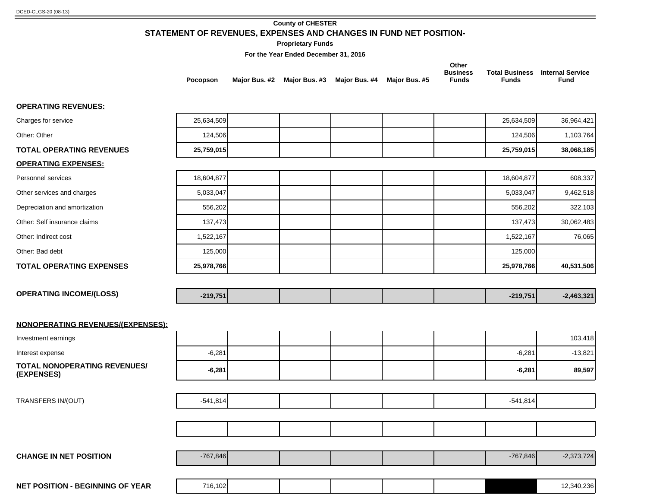# **County of CHESTER STATEMENT OF REVENUES, EXPENSES AND CHANGES IN FUND NET POSITION-**

**Proprietary Funds**

**For the Year Ended December 31, 2016**

|                                                   | Pocopson   |  | Major Bus. #2 Major Bus. #3 Major Bus. #4 Major Bus. #5 | Other<br><b>Business</b><br><b>Funds</b> | <b>Funds</b> | <b>Total Business</b> Internal Service<br><b>Fund</b> |
|---------------------------------------------------|------------|--|---------------------------------------------------------|------------------------------------------|--------------|-------------------------------------------------------|
| <b>OPERATING REVENUES:</b>                        |            |  |                                                         |                                          |              |                                                       |
| Charges for service                               | 25,634,509 |  |                                                         |                                          | 25,634,509   | 36,964,421                                            |
| Other: Other                                      | 124,506    |  |                                                         |                                          | 124,506      | 1,103,764                                             |
| <b>TOTAL OPERATING REVENUES</b>                   | 25,759,015 |  |                                                         |                                          | 25,759,015   | 38,068,185                                            |
| <b>OPERATING EXPENSES:</b>                        |            |  |                                                         |                                          |              |                                                       |
| Personnel services                                | 18,604,877 |  |                                                         |                                          | 18,604,877   | 608,337                                               |
| Other services and charges                        | 5,033,047  |  |                                                         |                                          | 5,033,047    | 9,462,518                                             |
| Depreciation and amortization                     | 556,202    |  |                                                         |                                          | 556,202      | 322,103                                               |
| Other: Self insurance claims                      | 137,473    |  |                                                         |                                          | 137,473      | 30,062,483                                            |
| Other: Indirect cost                              | 1,522,167  |  |                                                         |                                          | 1,522,167    | 76,065                                                |
| Other: Bad debt                                   | 125,000    |  |                                                         |                                          | 125,000      |                                                       |
| <b>TOTAL OPERATING EXPENSES</b>                   | 25,978,766 |  |                                                         |                                          | 25,978,766   | 40,531,506                                            |
|                                                   |            |  |                                                         |                                          |              |                                                       |
| <b>OPERATING INCOME/(LOSS)</b>                    | $-219,751$ |  |                                                         |                                          | $-219,751$   | $-2,463,321$                                          |
| <b>NONOPERATING REVENUES/(EXPENSES):</b>          |            |  |                                                         |                                          |              |                                                       |
| Investment earnings                               |            |  |                                                         |                                          |              | 103,418                                               |
| Interest expense                                  | $-6,281$   |  |                                                         |                                          | $-6,281$     | $-13,821$                                             |
| <b>TOTAL NONOPERATING REVENUES/</b><br>(EXPENSES) | $-6,281$   |  |                                                         |                                          | $-6,281$     | 89,597                                                |
| TRANSFERS IN/(OUT)                                | $-541,814$ |  |                                                         |                                          | $-541,814$   |                                                       |
|                                                   |            |  |                                                         |                                          |              |                                                       |
|                                                   |            |  |                                                         |                                          |              |                                                       |
|                                                   |            |  |                                                         |                                          |              |                                                       |
| <b>CHANGE IN NET POSITION</b>                     | $-767,846$ |  |                                                         |                                          | $-767,846$   | $-2,373,724$                                          |
|                                                   |            |  |                                                         |                                          |              |                                                       |

**NET POSITION - BEGINNING OF YEAR** 12,340,236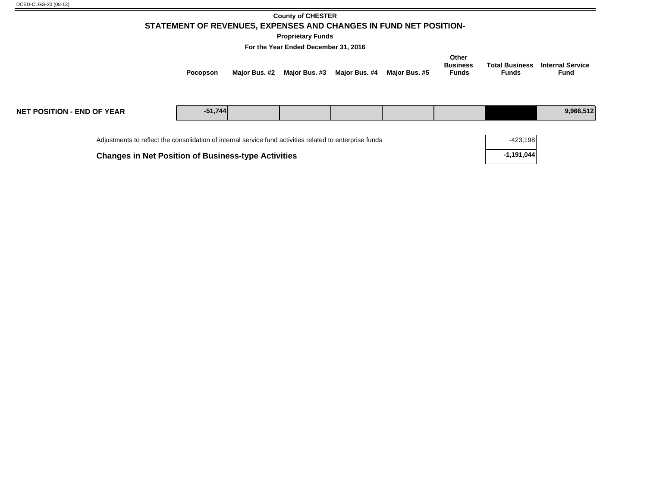| DCED-CLGS-20 (08-13) |
|----------------------|
|----------------------|

#### **County of CHESTER STATEMENT OF REVENUES, EXPENSES AND CHANGES IN FUND NET POSITION-**

**Proprietary Funds**

**For the Year Ended December 31, 2016**

| Other<br><b>Total Business</b><br><b>Internal Service</b><br><b>Business</b><br>Major Bus. #3<br>Major Bus. #4 Major Bus. #5<br>Maior Bus. #2<br><b>Funds</b><br><b>Fund</b><br>Funds<br><b>Pocopson</b> |
|----------------------------------------------------------------------------------------------------------------------------------------------------------------------------------------------------------|
|----------------------------------------------------------------------------------------------------------------------------------------------------------------------------------------------------------|

| <b>NET POSITION - END OF YEAR</b>                                                                        | $-51,744$ |            |  |  |  |  | 9,966,512 |
|----------------------------------------------------------------------------------------------------------|-----------|------------|--|--|--|--|-----------|
| Adjustments to reflect the consolidation of internal service fund activities related to enterprise funds |           | $-423,198$ |  |  |  |  |           |

**Changes in Net Position of Business-type Activities** 

| -423,198   |
|------------|
| -1,191,044 |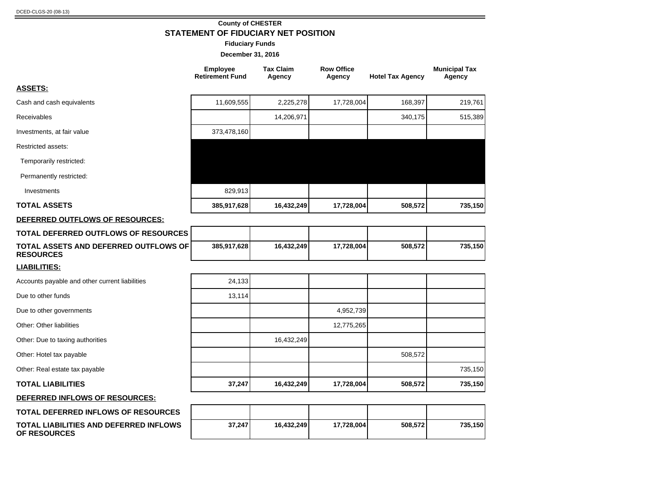**OF RESOURCES**

#### **County of CHESTER STATEMENT OF FIDUCIARY NET POSITION**

**Fiduciary Funds**

|                                                           | <b>Tax Claim</b><br><b>Employee</b><br><b>Retirement Fund</b><br>Agency |            | <b>Row Office</b><br>Agency | <b>Hotel Tax Agency</b> | <b>Municipal Tax</b><br>Agency |  |
|-----------------------------------------------------------|-------------------------------------------------------------------------|------------|-----------------------------|-------------------------|--------------------------------|--|
| <b>ASSETS:</b>                                            |                                                                         |            |                             |                         |                                |  |
| Cash and cash equivalents                                 | 11,609,555                                                              | 2,225,278  | 17,728,004                  | 168,397                 | 219,761                        |  |
| Receivables                                               |                                                                         | 14,206,971 |                             | 340,175                 | 515,389                        |  |
| Investments, at fair value                                | 373,478,160                                                             |            |                             |                         |                                |  |
| Restricted assets:                                        |                                                                         |            |                             |                         |                                |  |
| Temporarily restricted:                                   |                                                                         |            |                             |                         |                                |  |
| Permanently restricted:                                   |                                                                         |            |                             |                         |                                |  |
| Investments                                               | 829,913                                                                 |            |                             |                         |                                |  |
| <b>TOTAL ASSETS</b>                                       | 385,917,628                                                             | 16,432,249 | 17,728,004                  | 508,572                 | 735,150                        |  |
| DEFERRED OUTFLOWS OF RESOURCES:                           |                                                                         |            |                             |                         |                                |  |
| TOTAL DEFERRED OUTFLOWS OF RESOURCES                      |                                                                         |            |                             |                         |                                |  |
| TOTAL ASSETS AND DEFERRED OUTFLOWS OF<br><b>RESOURCES</b> | 385,917,628                                                             | 16,432,249 | 17,728,004                  | 508,572                 | 735,150                        |  |
| <b>LIABILITIES:</b>                                       |                                                                         |            |                             |                         |                                |  |
| Accounts payable and other current liabilities            | 24,133                                                                  |            |                             |                         |                                |  |
| Due to other funds                                        | 13,114                                                                  |            |                             |                         |                                |  |
| Due to other governments                                  |                                                                         |            | 4,952,739                   |                         |                                |  |
| Other: Other liabilities                                  |                                                                         |            | 12,775,265                  |                         |                                |  |
| Other: Due to taxing authorities                          |                                                                         | 16,432,249 |                             |                         |                                |  |
| Other: Hotel tax payable                                  |                                                                         |            |                             | 508,572                 |                                |  |
| Other: Real estate tax payable                            |                                                                         |            |                             |                         | 735,150                        |  |
| <b>TOTAL LIABILITIES</b>                                  | 37,247                                                                  | 16,432,249 | 17,728,004                  | 508,572                 | 735,150                        |  |
| DEFERRED INFLOWS OF RESOURCES:                            |                                                                         |            |                             |                         |                                |  |
| TOTAL DEFERRED INFLOWS OF RESOURCES                       |                                                                         |            |                             |                         |                                |  |
| <b>TOTAL LIABILITIES AND DEFERRED INFLOWS</b>             | 37,247                                                                  | 16,432,249 | 17,728,004                  | 508,572                 | 735,150                        |  |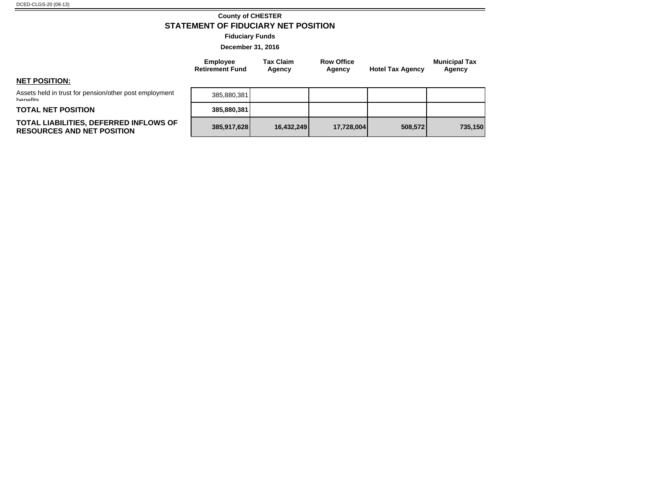#### **County of CHESTER STATEMENT OF FIDUCIARY NET POSITION**

**Fiduciary Funds**

**December 31, 2016**

**Tax Claim Agency**

**Employee Retirement Fund**

| <b>NET POSITION:</b> |
|----------------------|

Assets held in trust for pension/other post employment **banafite** 

**TOTAL NET POSITION 385,880,381**

#### **TOTAL LIABILITIES, DEFERRED INFLOWS OF RESOURCES AND NET POSITION 385,917,628 16,432,249 17,728,004 508,572 735,150**

| 385,880,381 |            |            |         |         |
|-------------|------------|------------|---------|---------|
| 385,880,381 |            |            |         |         |
| 385,917,628 | 16,432,249 | 17,728,004 | 508,572 | 735,150 |

**Row Office** 

**Agency Hotel Tax Agency**

**Municipal Tax Agency**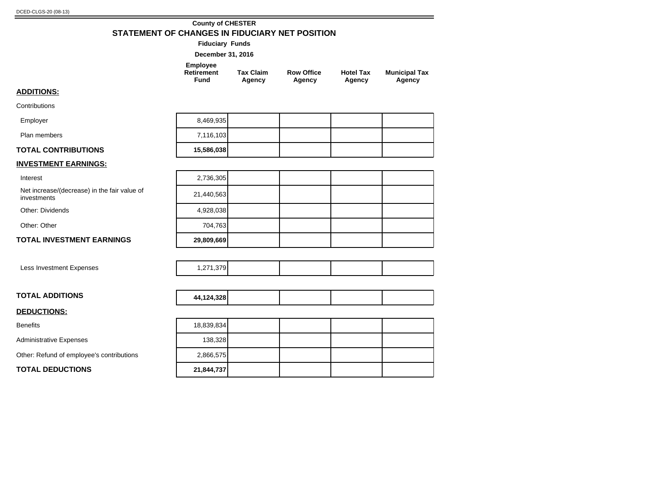#### **County of CHESTER STATEMENT OF CHANGES IN FIDUCIARY NET POSITION**

**Fiduciary Funds**

| Employee   |                  |                   |                  |                      |
|------------|------------------|-------------------|------------------|----------------------|
| Retirement | <b>Tax Claim</b> | <b>Row Office</b> | <b>Hotel Tax</b> | <b>Municipal Tax</b> |
| Fund       | Agency           | Agency            | Agency           | Agency               |

#### **ADDITIONS:**

**Contributions** Employer

| <b>TOTAL CONTRIBUTIONS</b> | 15,586,038 |  |  |
|----------------------------|------------|--|--|
| Plan members               | 7,116,103  |  |  |
| Employer                   | 8,469,935  |  |  |

# **INVESTMENT EARNINGS:**

Interest 2,736,305

Net increase/(decrease) in the fair value of investments 21,440,563

Other: Dividends

Other: Other

Benefits

#### **TOTAL INVESTMENT EARNINGS 29,809,669**

Less Investment Expenses

| <b>TOTAL ADDITIONS</b> | 44,124,328 |  |  |
|------------------------|------------|--|--|
| <b>DEDUCTIONS:</b>     |            |  |  |
|                        | 10000001   |  |  |

Administrative Expenses

Other: Refund of employee's contributions

**TOTAL DEDUCTIONS 21,844,737**

| 4,928,038  |  |  |
|------------|--|--|
| 704,763    |  |  |
| 29,809,669 |  |  |
|            |  |  |
| 1,271,379  |  |  |
|            |  |  |
|            |  |  |

| 18,839,834 |  |  |
|------------|--|--|
| 138,328    |  |  |
| 2,866,575  |  |  |
| 21,844,737 |  |  |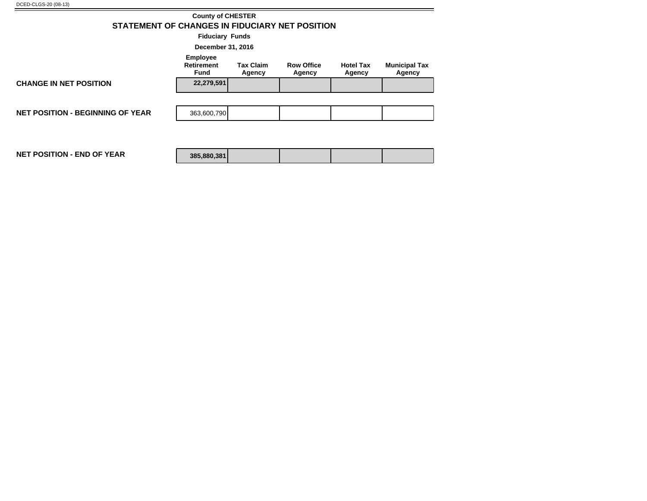|                                                                                                                                                                           | <b>County of CHESTER</b> |  |  |  |  |  |  |  |  |
|---------------------------------------------------------------------------------------------------------------------------------------------------------------------------|--------------------------|--|--|--|--|--|--|--|--|
| STATEMENT OF CHANGES IN FIDUCIARY NET POSITION                                                                                                                            |                          |  |  |  |  |  |  |  |  |
| <b>Fiduciary Funds</b>                                                                                                                                                    |                          |  |  |  |  |  |  |  |  |
| December 31, 2016                                                                                                                                                         |                          |  |  |  |  |  |  |  |  |
| <b>Employee</b><br><b>Retirement</b><br><b>Tax Claim</b><br><b>Row Office</b><br><b>Hotel Tax</b><br><b>Municipal Tax</b><br>Fund<br>Agency<br>Agency<br>Agency<br>Agency |                          |  |  |  |  |  |  |  |  |
| <b>CHANGE IN NET POSITION</b>                                                                                                                                             | 22,279,591               |  |  |  |  |  |  |  |  |
|                                                                                                                                                                           |                          |  |  |  |  |  |  |  |  |
| <b>NET POSITION - BEGINNING OF YEAR</b>                                                                                                                                   | 363,600,790              |  |  |  |  |  |  |  |  |
|                                                                                                                                                                           |                          |  |  |  |  |  |  |  |  |
| <b>NET POSITION - END OF YEAR</b>                                                                                                                                         | 385,880,381              |  |  |  |  |  |  |  |  |

÷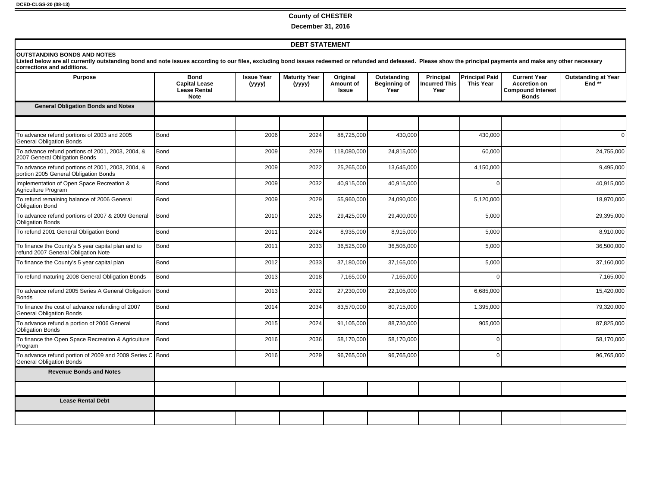#### **County of CHESTER**

**December 31, 2016**

#### **DEBT STATEMENT**

#### **OUTSTANDING BONDS AND NOTES**

Listed below are all currently outstanding bond and note issues according to our files, excluding bond issues redeemed or refunded and defeased. Please show the principal payments and make any other necessary<br>corrections

| <b>Purpose</b>                                                                              | <b>Bond</b><br><b>Capital Lease</b><br><b>Lease Rental</b><br><b>Note</b> | <b>Issue Year</b><br>(yyyy) | <b>Maturity Year</b><br>(yyyy) | Original<br>Amount of<br><b>Issue</b> | Outstanding<br>Beginning of<br>Year | <b>Principal</b><br><b>Incurred This</b><br>Year | <b>Principal Paid</b><br><b>This Year</b> | <b>Current Year</b><br><b>Accretion on</b><br><b>Compound Interest</b><br><b>Bonds</b> | <b>Outstanding at Year</b><br>End $**$ |
|---------------------------------------------------------------------------------------------|---------------------------------------------------------------------------|-----------------------------|--------------------------------|---------------------------------------|-------------------------------------|--------------------------------------------------|-------------------------------------------|----------------------------------------------------------------------------------------|----------------------------------------|
| <b>General Obligation Bonds and Notes</b>                                                   |                                                                           |                             |                                |                                       |                                     |                                                  |                                           |                                                                                        |                                        |
|                                                                                             |                                                                           |                             |                                |                                       |                                     |                                                  |                                           |                                                                                        |                                        |
| To advance refund portions of 2003 and 2005<br><b>General Obligation Bonds</b>              | Bond                                                                      | 2006                        | 2024                           | 88,725,000                            | 430,000                             |                                                  | 430,000                                   |                                                                                        | ΩI                                     |
| To advance refund portions of 2001, 2003, 2004, &<br>2007 General Obligation Bonds          | Bond                                                                      | 2009                        | 2029                           | 118,080,000                           | 24,815,000                          |                                                  | 60,000                                    |                                                                                        | 24,755,000                             |
| To advance refund portions of 2001, 2003, 2004, &<br>portion 2005 General Obligation Bonds  | Bond                                                                      | 2009                        | 2022                           | 25,265,000                            | 13,645,000                          |                                                  | 4,150,000                                 |                                                                                        | 9,495,000                              |
| Implementation of Open Space Recreation &<br>Agriculture Program                            | Bond                                                                      | 2009                        | 2032                           | 40,915,000                            | 40,915,000                          |                                                  | $\Omega$                                  |                                                                                        | 40,915,000                             |
| To refund remaining balance of 2006 General<br><b>Obligation Bond</b>                       | Bond                                                                      | 2009                        | 2029                           | 55,960,000                            | 24,090,000                          |                                                  | 5,120,000                                 |                                                                                        | 18,970,000                             |
| To advance refund portions of 2007 & 2009 General<br><b>Obligation Bonds</b>                | Bond                                                                      | 2010                        | 2025                           | 29,425,000                            | 29,400,000                          |                                                  | 5,000                                     |                                                                                        | 29,395,000                             |
| To refund 2001 General Obligation Bond                                                      | Bond                                                                      | 2011                        | 2024                           | 8,935,000                             | 8,915,000                           |                                                  | 5,000                                     |                                                                                        | 8,910,000                              |
| To finance the County's 5 year capital plan and to<br>refund 2007 General Obligation Note   | Bond                                                                      | 2011                        | 2033                           | 36,525,000                            | 36,505,000                          |                                                  | 5,000                                     |                                                                                        | 36,500,000                             |
| To finance the County's 5 year capital plan                                                 | Bond                                                                      | 2012                        | 2033                           | 37,180,000                            | 37,165,000                          |                                                  | 5,000                                     |                                                                                        | 37,160,000                             |
| To refund maturing 2008 General Obligation Bonds                                            | Bond                                                                      | 2013                        | 2018                           | 7,165,000                             | 7,165,000                           |                                                  | $\Omega$                                  |                                                                                        | 7,165,000                              |
| To advance refund 2005 Series A General Obligation<br><b>Bonds</b>                          | Bond                                                                      | 2013                        | 2022                           | 27,230,000                            | 22,105,000                          |                                                  | 6,685,000                                 |                                                                                        | 15,420,000                             |
| To finance the cost of advance refunding of 2007<br><b>General Obligation Bonds</b>         | Bond                                                                      | 2014                        | 2034                           | 83,570,000                            | 80,715,000                          |                                                  | 1,395,000                                 |                                                                                        | 79,320,000                             |
| To advance refund a portion of 2006 General<br><b>Obligation Bonds</b>                      | Bond                                                                      | 2015                        | 2024                           | 91,105,000                            | 88,730,000                          |                                                  | 905,000                                   |                                                                                        | 87,825,000                             |
| To finance the Open Space Recreation & Agriculture<br>Program                               | Bond                                                                      | 2016                        | 2036                           | 58,170,000                            | 58,170,000                          |                                                  | $\Omega$                                  |                                                                                        | 58,170,000                             |
| To advance refund portion of 2009 and 2009 Series C Bond<br><b>General Obligation Bonds</b> |                                                                           | 2016                        | 2029                           | 96,765,000                            | 96,765,000                          |                                                  | $\mathbf 0$                               |                                                                                        | 96,765,000                             |
| <b>Revenue Bonds and Notes</b>                                                              |                                                                           |                             |                                |                                       |                                     |                                                  |                                           |                                                                                        |                                        |
|                                                                                             |                                                                           |                             |                                |                                       |                                     |                                                  |                                           |                                                                                        |                                        |
| <b>Lease Rental Debt</b>                                                                    |                                                                           |                             |                                |                                       |                                     |                                                  |                                           |                                                                                        |                                        |
|                                                                                             |                                                                           |                             |                                |                                       |                                     |                                                  |                                           |                                                                                        |                                        |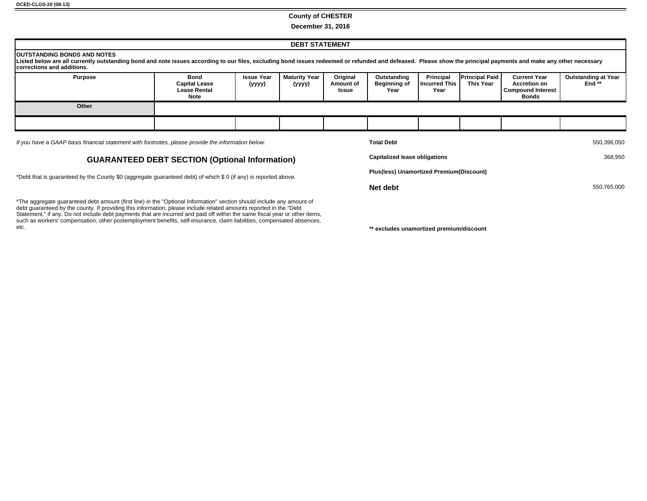#### **County of CHESTER**

**December 31, 2016**

| <b>DEBT STATEMENT</b>                                                                                                                                                                                                                                                                  |                                                             |                             |                         |                                |                                            |                                           |                                    |                                                                                 |                                        |
|----------------------------------------------------------------------------------------------------------------------------------------------------------------------------------------------------------------------------------------------------------------------------------------|-------------------------------------------------------------|-----------------------------|-------------------------|--------------------------------|--------------------------------------------|-------------------------------------------|------------------------------------|---------------------------------------------------------------------------------|----------------------------------------|
| <b>IOUTSTANDING BONDS AND NOTES</b><br>Listed below are all currently outstanding bond and note issues according to our files, excluding bond issues redeemed or refunded and defeased. Please show the principal payments and make any other necessary<br>Icorrections and additions. |                                                             |                             |                         |                                |                                            |                                           |                                    |                                                                                 |                                        |
| <b>Purpose</b>                                                                                                                                                                                                                                                                         | Bond<br><b>Capital Lease</b><br><b>Lease Rental</b><br>Note | <b>Issue Year</b><br>(yyyy) | Maturity Year<br>(yyyy) | Original<br>Amount of<br>Issue | Outstanding<br><b>Beginning of</b><br>Year | Principal<br><b>Incurred This</b><br>Year | <b>Principal Paid</b><br>This Year | <b>Current Year</b><br><b>Accretion on</b><br><b>Compound Interest</b><br>Bonds | <b>Outstanding at Year</b><br>End $**$ |
| Other                                                                                                                                                                                                                                                                                  |                                                             |                             |                         |                                |                                            |                                           |                                    |                                                                                 |                                        |
|                                                                                                                                                                                                                                                                                        |                                                             |                             |                         |                                |                                            |                                           |                                    |                                                                                 |                                        |
| If you have a GAAP basis financial statement with footnotes, please provide the information below.                                                                                                                                                                                     |                                                             |                             |                         | <b>Total Debt</b>              |                                            |                                           |                                    | 550,396,050                                                                     |                                        |

#### **GUARANTEED DEBT SECTION (Optional Information)**

\*Debt that is guaranteed by the County \$0 (aggregate guaranteed debt) of which \$ 0 (if any) is reported above.

\*The aggregate guaranteed debt amount (first line) in the "Optional Information" section should include any amount of debt guaranteed by the county. If providing this information, please include related amounts reported in the "Debt Statement," if any. Do not include debt payments that are incurred and paid off within the same fiscal year or other items, such as workers' compensation, other postemployment benefits, self-insurance, claim liabilities, compensated absences,<br>etc.

| <b>Total Debt</b>                               | 550,396,050 |
|-------------------------------------------------|-------------|
| <b>Capitalized lease obligations</b>            | 368,950     |
| <b>Plus(less) Unamortized Premium(Discount)</b> |             |
| Net debt                                        | 550,765,000 |
|                                                 |             |

\*\* excludes unamortized premium/discount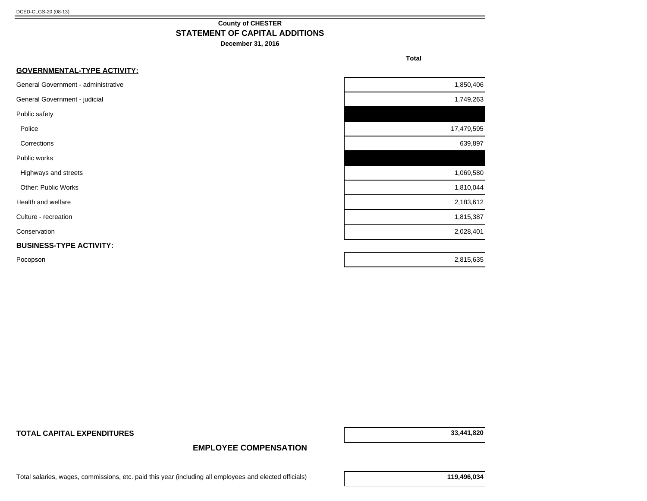#### **County of CHESTER STATEMENT OF CAPITAL ADDITIONS**

**December 31, 2016**

**Total** 

| <b>GOVERNMENTAL-TYPE ACTIVITY:</b>  |            |
|-------------------------------------|------------|
| General Government - administrative | 1,850,406  |
| General Government - judicial       | 1,749,263  |
| Public safety                       |            |
| Police                              | 17,479,595 |
| Corrections                         | 639,897    |
| Public works                        |            |
| Highways and streets                | 1,069,580  |
| Other: Public Works                 | 1,810,044  |
| Health and welfare                  | 2,183,612  |
| Culture - recreation                | 1,815,387  |
| Conservation                        | 2,028,401  |
| <b>BUSINESS-TYPE ACTIVITY:</b>      |            |
| Pocopson                            | 2,815,635  |

**TOTAL CAPITAL EXPENDITURES 33,441,820**

**EMPLOYEE COMPENSATION**

Total salaries, wages, commissions, etc. paid this year (including all employees and elected officials) **119,496,034**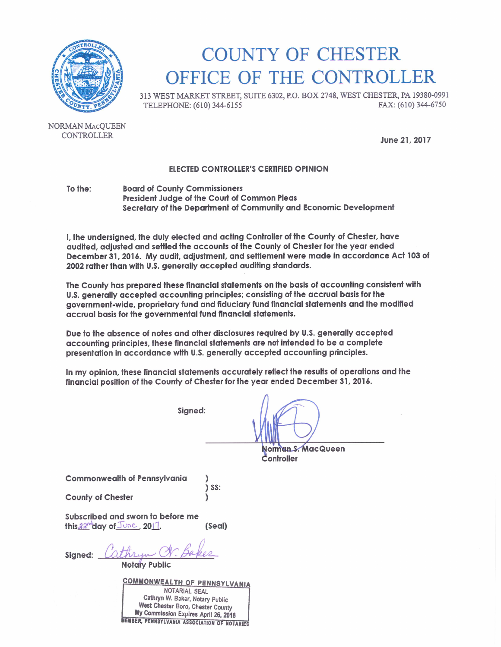

# **COUNTY OF CHESTER** OFFICE OF THE CONTROLLER

313 WEST MARKET STREET, SUITE 6302, P.O. BOX 2748, WEST CHESTER, PA 19380-0991 FAX: (610) 344-6750 TELEPHONE: (610) 344-6155

NORMAN MACOUEEN CONTROLLER

June 21, 2017

#### **ELECTED CONTROLLER'S CERTIFIED OPINION**

To the: **Board of County Commissioners** President Judge of the Court of Common Pleas Secretary of the Department of Community and Economic Development

I, the undersigned, the duly elected and acting Controller of the County of Chester, have audited, adjusted and settled the accounts of the County of Chester for the year ended December 31, 2016. My audit, adjustment, and settlement were made in accordance Act 103 of 2002 rather than with U.S. generally accepted auditing standards.

The County has prepared these financial statements on the basis of accounting consistent with U.S. generally accepted accounting principles; consisting of the accrual basis for the government-wide, proprietary fund and fiduciary fund financial statements and the modified accrual basis for the governmental fund financial statements.

Due to the absence of notes and other disclosures required by U.S. generally accepted accounting principles, these financial statements are not intended to be a complete presentation in accordance with U.S. generally accepted accounting principles.

In my opinion, these financial statements accurately reflect the results of operations and the financial position of the County of Chester for the year ended December 31, 2016.

Sianed:

Norman S. MacQueen Controller

**Commonwealth of Pennsylvania** 

**County of Chester** 

 $\sum$  SS:

Subscribed and sworn to before me this 22<sup>nd</sup> day of June, 2017. (Seal)

Sianed:

**Notary Public** 

**COMMONWEALTH OF PENNSYLVANIA** NOTARIAL SEAL Cathryn W. Baker, Notary Public West Chester Boro, Chester County My Commission Expires April 26, 2018 **WEWBER, PENNSYLVANIA ASSOCIATION OF NOTARIES**